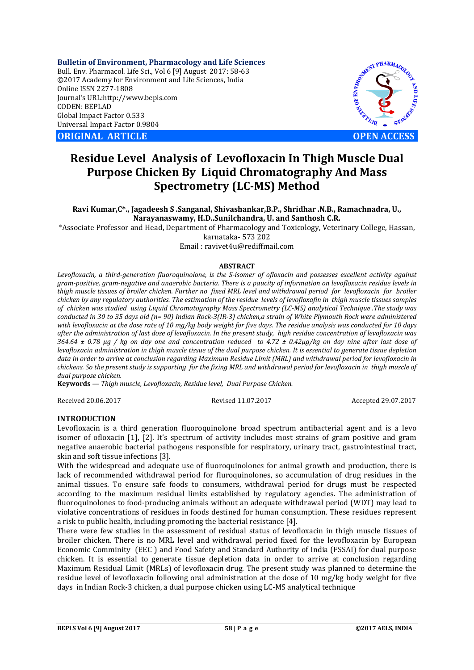**Bulletin of Environment, Pharmacology and Life Sciences** Bull. Env. Pharmacol. Life Sci., Vol 6 [9] August 2017: 58-63 ©2017 Academy for Environment and Life Sciences, India Online ISSN 2277-1808 Journal's URL:http://www.bepls.com CODEN: BEPLAD Global Impact Factor 0.533 Universal Impact Factor 0.9804

**ORIGINAL ARTICLE OPEN ACCESS**



# **Residue Level Analysis of Levofloxacin In Thigh Muscle Dual Purpose Chicken By Liquid Chromatography And Mass Spectrometry (LC-MS) Method**

**Ravi Kumar,C\*., Jagadeesh S .Sanganal, Shivashankar,B.P., Shridhar .N.B., Ramachnadra, U., Narayanaswamy, H.D..Sunilchandra, U. and Santhosh C.R.**

\*Associate Professor and Head, Department of Pharmacology and Toxicology, Veterinary College, Hassan,

karnataka- 573 202

Email : ravivet4u@rediffmail.com

# **ABSTRACT**

*Levofloxacin, a third-generation fluoroquinolone, is the S-isomer of ofloxacin and possesses excellent activity against gram-positive, gram-negative and anaerobic bacteria. There is a paucity of information on levofloxacin residue levels in thigh muscle tissues of broiler chicken. Further no fixed MRL level and withdrawal period for levofloxacin for broiler chicken by any regulatory authorities. The estimation of the residue levels of levofloxafin in thigh muscle tissues samples of chicken was studied using Liquid Chromatography Mass Spectrometry (LC-MS) analytical Technique .The study was conducted in 30 to 35 days old (n= 90) Indian Rock-3(IR-3) chicken,a strain of White Plymouth Rock were administered with levofloxacin at the dose rate of 10 mg/kg body weight for five days. The residue analysis was conducted for 10 days after the administration of last dose of levofloxacin. In the present study, high residue concentration of levofloxacin was 364.64 ± 0.78 µg / kg on day one and concentration reduced to 4.72 ± 0.42µg/kg on day nine after last dose of levofloxacin administration in thigh muscle tissue of the dual purpose chicken. It is essential to generate tissue depletion data in order to arrive at conclusion regarding Maximum Residue Limit (MRL) and withdrawal period for levofloxacin in chickens. So the present study is supporting for the fixing MRL and withdrawal period for levofloxacin in thigh muscle of dual purpose chicken.*

**Keywords** *— Thigh muscle, Levofloxacin, Residue level, Dual Purpose Chicken.* 

Received 20.06.2017 Revised 11.07.2017 Accepted 29.07.2017

## **INTRODUCTION**

Levofloxacin is a third generation fluoroquinolone broad spectrum antibacterial agent and is a levo isomer of ofloxacin [1], [2]. It's spectrum of activity includes most strains of gram positive and gram negative anaerobic bacterial pathogens responsible for respiratory, urinary tract, gastrointestinal tract, skin and soft tissue infections [3].

With the widespread and adequate use of fluoroquinolones for animal growth and production, there is lack of recommended withdrawal period for fluroquinolones, so accumulation of drug residues in the animal tissues. To ensure safe foods to consumers, withdrawal period for drugs must be respected according to the maximum residual limits established by regulatory agencies. The administration of fluoroquinolones to food-producing animals without an adequate withdrawal period (WDT) may lead to violative concentrations of residues in foods destined for human consumption. These residues represent a risk to public health, including promoting the bacterial resistance [4].

There were few studies in the assessment of residual status of levofloxacin in thigh muscle tissues of broiler chicken. There is no MRL level and withdrawal period fixed for the levofloxacin by European Economic Comminity (EEC ) and Food Safety and Standard Authority of India (FSSAI) for dual purpose chicken. It is essential to generate tissue depletion data in order to arrive at conclusion regarding Maximum Residual Limit (MRLs) of levofloxacin drug. The present study was planned to determine the residue level of levofloxacin following oral administration at the dose of 10 mg/kg body weight for five days in Indian Rock-3 chicken, a dual purpose chicken using LC-MS analytical technique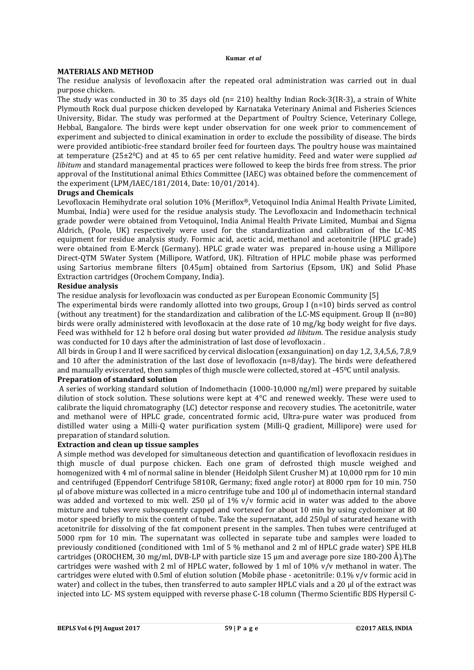#### **Kumar** *et al*

## **MATERIALS AND METHOD**

The residue analysis of levofloxacin after the repeated oral administration was carried out in dual purpose chicken.

The study was conducted in 30 to 35 days old (n= 210) healthy Indian Rock-3(IR-3), a strain of White Plymouth Rock dual purpose chicken developed by Karnataka Veterinary Animal and Fisheries Sciences University, Bidar. The study was performed at the Department of Poultry Science, Veterinary College, Hebbal, Bangalore. The birds were kept under observation for one week prior to commencement of experiment and subjected to clinical examination in order to exclude the possibility of disease. The birds were provided antibiotic-free standard broiler feed for fourteen days. The poultry house was maintained at temperature (25±20C) and at 45 to 65 per cent relative humidity. Feed and water were supplied *ad libitum* and standard managemental practices were followed to keep the birds free from stress. The prior approval of the Institutional animal Ethics Committee (IAEC) was obtained before the commencement of the experiment (LPM/IAEC/181/2014, Date: 10/01/2014).

## **Drugs and Chemicals**

Levofloxacin Hemihydrate oral solution 10% (Meriflox®, Vetoquinol India Animal Health Private Limited, Mumbai, India) were used for the residue analysis study. The Levofloxacin and Indomethacin technical grade powder were obtained from Vetoquinol, India Animal Health Private Limited, Mumbai and Sigma Aldrich, (Poole, UK) respectively were used for the standardization and calibration of the LC-MS equipment for residue analysis study. Formic acid, acetic acid, methanol and acetonitrile (HPLC grade) were obtained from E-Merck (Germany). HPLC grade water was prepared in-house using a Millipore Direct-QTM 5Water System (Millipore, Watford, UK). Filtration of HPLC mobile phase was performed using Sartorius membrane filters [0.45µm] obtained from Sartorius (Epsom, UK) and Solid Phase Extraction cartridges (Orochem Company, India).

## **Residue analysis**

The residue analysis for levofloxacin was conducted as per European Economic Community [5]

The experimental birds were randomly allotted into two groups, Group I  $(n=10)$  birds served as control (without any treatment) for the standardization and calibration of the LC-MS equipment. Group II (n=80) birds were orally administered with levofloxacin at the dose rate of 10 mg/kg body weight for five days. Feed was withheld for 12 h before oral dosing but water provided *ad libitum*. The residue analysis study was conducted for 10 days after the administration of last dose of levofloxacin .

All birds in Group I and II were sacrificed by cervical dislocation (exsanguination) on day 1,2, 3,4,5,6, 7,8,9 and 10 after the administration of the last dose of levofloxacin (n=8/day). The birds were defeathered and manually eviscerated, then samples of thigh muscle were collected, stored at -450C until analysis.

# **Preparation of standard solution**

A series of working standard solution of Indomethacin (1000-10,000 ng/ml) were prepared by suitable dilution of stock solution. These solutions were kept at 4°C and renewed weekly. These were used to calibrate the liquid chromatography (LC) detector response and recovery studies. The acetonitrile, water and methanol were of HPLC grade, concentrated formic acid, Ultra-pure water was produced from distilled water using a Milli-Q water purification system (Milli-Q gradient, Millipore) were used for preparation of standard solution.

## **Extraction and clean up tissue samples**

A simple method was developed for simultaneous detection and quantification of levofloxacin residues in thigh muscle of dual purpose chicken. Each one gram of defrosted thigh muscle weighed and homogenized with 4 ml of normal saline in blender (Heidolph Silent Crusher M) at 10,000 rpm for 10 min and centrifuged (Eppendorf Centrifuge 5810R, Germany; fixed angle rotor) at 8000 rpm for 10 min. 750 µl of above mixture was collected in a micro centrifuge tube and 100 µl of indomethacin internal standard was added and vortexed to mix well. 250  $\mu$ l of 1% v/v formic acid in water was added to the above mixture and tubes were subsequently capped and vortexed for about 10 min by using cyclomixer at 80 motor speed briefly to mix the content of tube. Take the supernatant, add 250µl of saturated hexane with acetonitrile for dissolving of the fat component present in the samples. Then tubes were centrifuged at 5000 rpm for 10 min. The supernatant was collected in separate tube and samples were loaded to previously conditioned (conditioned with 1ml of 5 % methanol and 2 ml of HPLC grade water) SPE HLB cartridges (OROCHEM, 30 mg/ml, DVB-LP with particle size 15 µm and average pore size 180-200 Å).The cartridges were washed with 2 ml of HPLC water, followed by 1 ml of 10% v/v methanol in water. The cartridges were eluted with 0.5ml of elution solution (Mobile phase - acetonitrile: 0.1% v/v formic acid in water) and collect in the tubes, then transferred to auto sampler HPLC vials and a 20 µl of the extract was injected into LC- MS system equipped with reverse phase C-18 column (Thermo Scientific BDS Hypersil C-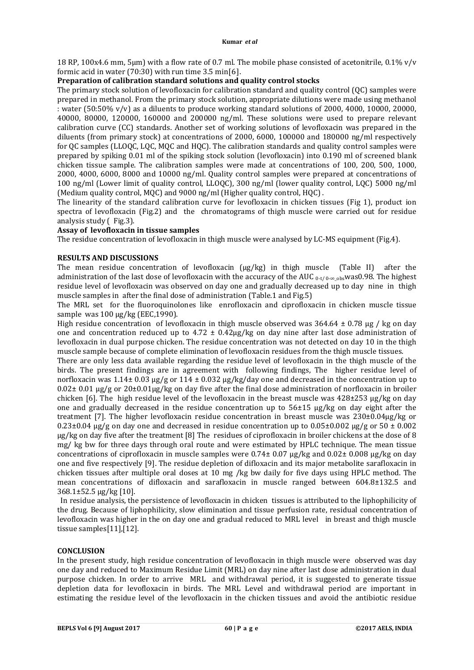18 RP, 100x4.6 mm, 5µm) with a flow rate of 0.7 ml. The mobile phase consisted of acetonitrile, 0.1% v/v formic acid in water (70:30) with run time 3.5 min[6].

#### **Preparation of calibration standard solutions and quality control stocks**

The primary stock solution of levofloxacin for calibration standard and quality control (QC) samples were prepared in methanol. From the primary stock solution, appropriate dilutions were made using methanol : water (50:50% v/v) as a diluents to produce working standard solutions of 2000, 4000, 10000, 20000, 40000, 80000, 120000, 160000 and 200000 ng/ml. These solutions were used to prepare relevant calibration curve (CC) standards. Another set of working solutions of levofloxacin was prepared in the diluents (from primary stock) at concentrations of 2000, 6000, 100000 and 180000 ng/ml respectively for QC samples (LLOQC, LQC, MQC and HQC). The calibration standards and quality control samples were prepared by spiking 0.01 ml of the spiking stock solution (levofloxacin) into 0.190 ml of screened blank chicken tissue sample. The calibration samples were made at concentrations of 100, 200, 500, 1000, 2000, 4000, 6000, 8000 and 10000 ng/ml. Quality control samples were prepared at concentrations of 100 ng/ml (Lower limit of quality control, LLOQC), 300 ng/ml (lower quality control, LQC) 5000 ng/ml (Medium quality control, MQC) and 9000 ng/ml (Higher quality control, HQC) .

The linearity of the standard calibration curve for levofloxacin in chicken tissues (Fig 1), product ion spectra of levofloxacin (Fig.2) and the chromatograms of thigh muscle were carried out for residue analysis study ( Fig.3).

#### **Assay of levofloxacin in tissue samples**

The residue concentration of levofloxacin in thigh muscle were analysed by LC-MS equipment (Fig.4).

## **RESULTS AND DISCUSSIONS**

The mean residue concentration of levofloxacin  $(\mu g/kg)$  in thigh muscle (Table II) after the administration of the last dose of levofloxacin with the accuracy of the AUC  $_{0-t/0-\infty,obs}$ was0.98. The highest residue level of levofloxacin was observed on day one and gradually decreased up to day nine in thigh muscle samples in after the final dose of administration (Table.1 and Fig.5)

The MRL set for the fluoroquinolones like enrofloxacin and ciprofloxacin in chicken muscle tissue sample was 100 μg/kg (EEC,1990).

High residue concentration of levofloxacin in thigh muscle observed was  $364.64 \pm 0.78$  µg / kg on day one and concentration reduced up to  $4.72 \pm 0.42 \mu$ g/kg on day nine after last dose administration of levofloxacin in dual purpose chicken. The residue concentration was not detected on day 10 in the thigh muscle sample because of complete elimination of levofloxacin residues from the thigh muscle tissues.

There are only less data available regarding the residue level of levofloxacin in the thigh muscle of the birds. The present findings are in agreement with following findings, The higher residue level of norfloxacin was 1.14± 0.03  $\mu$ g/g or 114 ± 0.032  $\mu$ g/kg/day one and decreased in the concentration up to  $0.02\pm 0.01$  µg/g or  $20\pm0.01$ µg/kg on day five after the final dose administration of norfloxacin in broiler chicken [6]. The high residue level of the levofloxacin in the breast muscle was  $428\pm253 \mu g/kg$  on day one and gradually decreased in the residue concentration up to  $56\pm15$  µg/kg on day eight after the treatment [7]. The higher levofloxacin residue concentration in breast muscle was 230±0.04µg/kg or  $0.23\pm0.04$  µg/g on day one and decreased in residue concentration up to  $0.05\pm0.002$  µg/g or 50  $\pm$  0.002 µg/kg on day five after the treatment [8] The residues of ciprofloxacin in broiler chickens at the dose of 8 mg/ kg bw for three days through oral route and were estimated by HPLC technique. The mean tissue concentrations of ciprofloxacin in muscle samples were 0.74± 0.07 µg/kg and 0.02± 0.008 µg/kg on day one and five respectively [9]. The residue depletion of difloxacin and its major metabolite sarafloxacin in chicken tissues after multiple oral doses at 10 mg /kg bw daily for five days using HPLC method. The mean concentrations of difloxacin and sarafloxacin in muscle ranged between 604.8±132.5 and 368.1±52.5 μg/kg [10].

 In residue analysis, the persistence of levofloxacin in chicken tissues is attributed to the liphophilicity of the drug. Because of liphophilicity, slow elimination and tissue perfusion rate, residual concentration of levofloxacin was higher in the on day one and gradual reduced to MRL level in breast and thigh muscle tissue samples[11],[12].

#### **CONCLUSION**

In the present study, high residue concentration of levofloxacin in thigh muscle were observed was day one day and reduced to Maximum Residue Limit (MRL) on day nine after last dose administration in dual purpose chicken. In order to arrive MRL and withdrawal period, it is suggested to generate tissue depletion data for levofloxacin in birds. The MRL Level and withdrawal period are important in estimating the residue level of the levofloxacin in the chicken tissues and avoid the antibiotic residue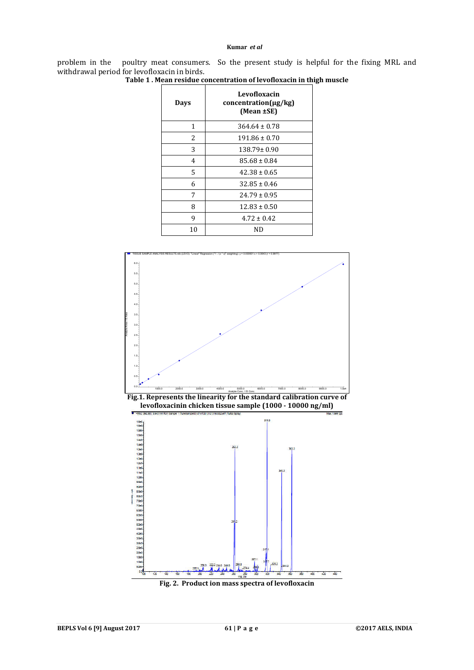#### **Kumar** *et al*

problem in the poultry meat consumers. So the present study is helpful for the fixing MRL and withdrawal period for levofloxacin in birds.

| Days | Levofloxacin<br>$concentration(\mu g/kg)$<br>(Mean ±SE) |
|------|---------------------------------------------------------|
| 1    | $364.64 \pm 0.78$                                       |
| 2    | $191.86 \pm 0.70$                                       |
| 3    | $138.79 \pm 0.90$                                       |
| 4    | $85.68 \pm 0.84$                                        |
| 5    | $42.38 \pm 0.65$                                        |
| 6    | $32.85 \pm 0.46$                                        |
| 7    | $24.79 \pm 0.95$                                        |
| 8    | $12.83 \pm 0.50$                                        |
| 9    | $4.72 \pm 0.42$                                         |
| 10   | ND                                                      |

**Table 1 . Mean residue concentration of levofloxacin in thigh muscle**

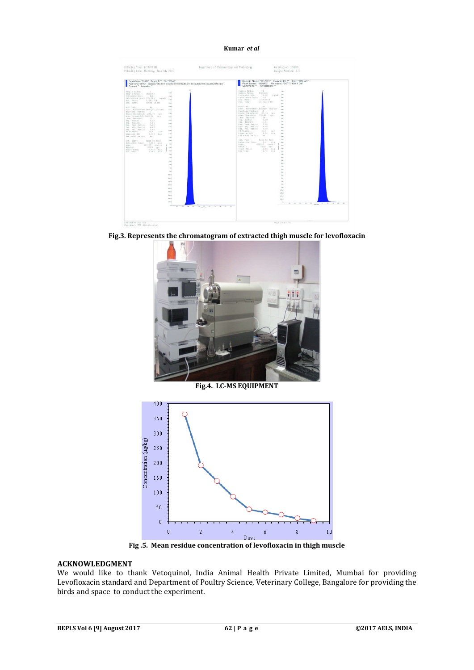#### **Kumar** *et al*

| Sample Name: "D1AB1" Sample ID: " File: "129.wff"                                                                                                                                                                                                                                                                                                                                                                                                                                                                                                                                                                                                                                                                                                                                                                                                                                                                                                                                                                                                                                                                                                                 | Sample Name: "D1A81" Sample ID: " File: "129.wift"                                                                                                                                                                                                                                                                                                                                                                                                                                                                                                                                                                                                                                                                                                                                                                                                                                                                                                                                                                                                                                                                                                                                                                                                                                                                       |
|-------------------------------------------------------------------------------------------------------------------------------------------------------------------------------------------------------------------------------------------------------------------------------------------------------------------------------------------------------------------------------------------------------------------------------------------------------------------------------------------------------------------------------------------------------------------------------------------------------------------------------------------------------------------------------------------------------------------------------------------------------------------------------------------------------------------------------------------------------------------------------------------------------------------------------------------------------------------------------------------------------------------------------------------------------------------------------------------------------------------------------------------------------------------|--------------------------------------------------------------------------------------------------------------------------------------------------------------------------------------------------------------------------------------------------------------------------------------------------------------------------------------------------------------------------------------------------------------------------------------------------------------------------------------------------------------------------------------------------------------------------------------------------------------------------------------------------------------------------------------------------------------------------------------------------------------------------------------------------------------------------------------------------------------------------------------------------------------------------------------------------------------------------------------------------------------------------------------------------------------------------------------------------------------------------------------------------------------------------------------------------------------------------------------------------------------------------------------------------------------------------|
| Peak Name: "LEVO" Massies: "363.2/319.3 Da.363.2/319.3 Da.363.2/319.3 Da.363.2/319.3 Da.363.2/319.3 Da"                                                                                                                                                                                                                                                                                                                                                                                                                                                                                                                                                                                                                                                                                                                                                                                                                                                                                                                                                                                                                                                           | Peak Name: "IND(IS)" Mass(es): "357.7/139.1 Da"                                                                                                                                                                                                                                                                                                                                                                                                                                                                                                                                                                                                                                                                                                                                                                                                                                                                                                                                                                                                                                                                                                                                                                                                                                                                          |
| Commert!" Annotation."                                                                                                                                                                                                                                                                                                                                                                                                                                                                                                                                                                                                                                                                                                                                                                                                                                                                                                                                                                                                                                                                                                                                            | Comment: Annotation:"                                                                                                                                                                                                                                                                                                                                                                                                                                                                                                                                                                                                                                                                                                                                                                                                                                                                                                                                                                                                                                                                                                                                                                                                                                                                                                    |
| Sangle fider:<br>nal Stop<br><b>Side</b><br>Sample Type:<br>Unknown.<br>Also<br>Calculated Conci 570,398  maind.<br>Kind.<br>App. Dite: 1/14/2014<br>Acq. Time:<br>10103116-706<br>1 isn<br><b>Silver</b><br><b>Modified:</b><br>100<br>Prox. Algorithm: Analyst Classic-<br>15 Aug<br>Honoblay Factor:<br>ЭE<br>2.34<br>Noise Thresholds' 295,78 cgs<br>Area Threshold: 1483.90 cps<br>1 km<br>Sin: Incothal<br>128.5<br>(lin-<br>(0.120)<br>Sep. Width:<br>Sep. Relights<br>0.01<br><b>Kanada</b><br>Exp. Pest Rotici<br>$-7.01$<br>t in<br>4.00<br>fap. Adj. Mation<br>Exp. VAL. Rativi<br>ご実立責任<br>220<br>ET Windows<br>3010<br>$00-$<br>$x = 1$<br>Espectas 37:<br>0.710 nim<br>Has Relative NT: No<br>5 inch<br>Rose To Sans<br>1 inch<br>Int. Type:<br>Betasting Times  0.682  etc.<br>1 days<br>293157 counts<br>Aces: "<br>$4.5\mu\text{s}$<br>Helghii<br>$-13530 - 294$<br>0.431 nim<br>Diart Time:<br>1 fact<br>End Tires<br>$0.7992$ Wim<br>1 ian<br>1 mm<br>1m<br>124<br>140<br>1466<br><b>ANCH</b><br><b>RELE</b><br>tori i<br>$-0.015$<br>total<br>stan is<br><b>knLF</b><br>John A.<br>maxi<br>$88 -$<br>49-1403 M 22-140-140-140<br>11<br>$-0.8$ | Sampia Index:<br>$\mathbb{R}$ .<br>Line 1<br>Sumple Type:<br><b>Unknown</b><br><b>TOM</b><br>Concentrations:<br>1,00<br>$-1197.01$<br><b>Friday</b><br>Calculated Conci: U/A<br>Amy. Date:<br>171472018<br><b>COM</b><br>Acq. Timer.<br>10101114.99<br><b>SOA</b><br><b>Sind</b><br>Proc. Algorithm: Analyst Classis<br>tive.<br>Bunching Factor: 1<br><b>TOM</b><br>Nulse Threshold: . 43.74 . ups<br>Area Threshold: 228.55 cps<br><b>Died</b><br>.Hum. Smoother-<br>10 <sup>2</sup><br>to a<br>Sep. Width:<br>3120<br>Total<br>liep. Helghts:<br>$II + III.$<br>Esp., Foot Ration<br>3,00<br><b>Line</b><br>Kep. All), Ration<br>4,700<br>ing.<br>Kop, Ual, Ratine<br>3700<br><b>COL</b><br>39.0<br>WT Windows:<br>n n<br>Expansied RTs<br>1.11<br>图300<br><b>Since</b><br>Une Relative RTv No<br>i kot<br><b>Allen</b><br>Suns, In Suns<br>Int. Type:<br>Retentinn Times<br>$1.41 - 310$<br>stat.<br>E95953 mounts<br>Aces:<br><b>TOM</b><br>34213 spe<br>Halyhti<br>10m<br>Start Times<br>$1.15 - 0.16$<br>End Time:<br>$1.76 - 0.10$<br><b>Sale</b><br>104<br><b>Sing</b><br><b>The</b><br><b>State</b><br><b>The</b><br>to a<br><b>COM</b><br>1364<br>1 mm<br>1 put<br><b>Long</b><br><b>Fried</b><br>sono-<br>son a<br>AMES.<br>visit or<br>$\rightarrow$<br>12 14 14 15 17 18 19 19 19 19 19 19 19<br>45.<br>11 |

**Fig.3. Represents the chromatogram of extracted thigh muscle for levofloxacin**



**Fig.4. LC-MS EQUIPMENT**



**Fig .5. Mean residue concentration of levofloxacin in thigh muscle**

# **ACKNOWLEDGMENT**

We would like to thank Vetoquinol, India Animal Health Private Limited, Mumbai for providing Levofloxacin standard and Department of Poultry Science, Veterinary College, Bangalore for providing the birds and space to conduct the experiment.